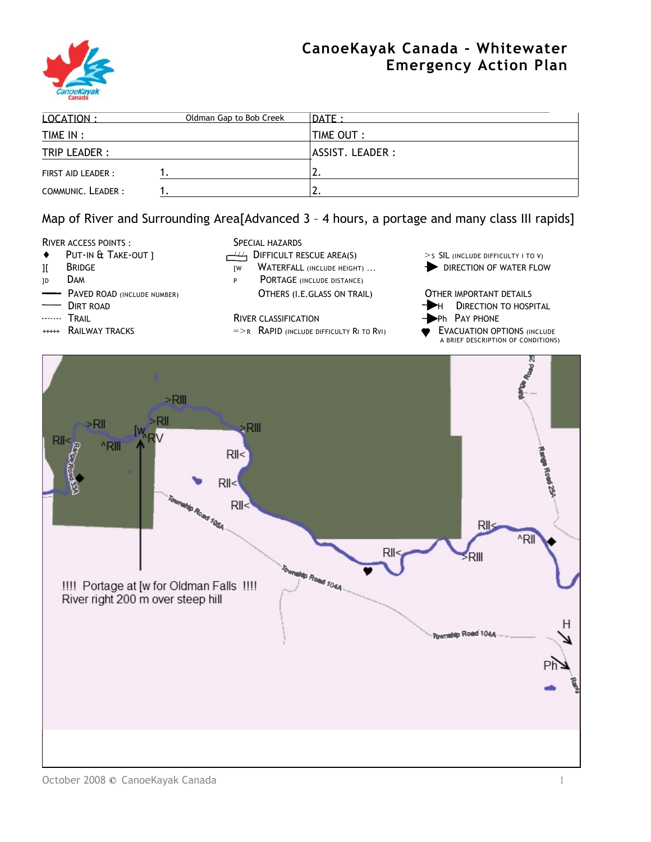# **CanoeKayak Canada - Whitewater Emergency Action Plan**



| LOCATION:          | Oldman Gap to Bob Creek | $\overline{DATE}$ : |
|--------------------|-------------------------|---------------------|
| TIME IN :          |                         | TIME OUT:           |
| TRIP LEADER :      |                         | ASSIST. LEADER :    |
| FIRST AID LEADER : |                         | <u>.</u> .          |
| COMMUNIC. LEADER:  |                         | <u>.</u> .          |

# Map of River and Surrounding Area[Advanced 3 – 4 hours, a portage and many class III rapids]

### RIVER ACCESS POINTS : SPECIAL HAZARDS

- 
- 
- 
- 
- 
- 
- 

- 
- 
- JD DAM PORTAGE (INCLUDE DISTANCE) PAVED ROAD (INCLUDE NUMBER) **OTHERS (I.E.GLASS ON TRAIL)** OTHER IMPORTANT DETAILS
	-
- TRAIL TRAIL PHONE RIVER CLASSIFICATION<br>
+ Ph PAY PHONE RIVER CLASSIFICATION<br>
→ Ph PACUATION OP PHONE =>R RAPID (INCLUDE DIFFICULTY RI TO RVI) → EVACUATION OP  $\Rightarrow R$  RAPID (INCLUDE DIFFICULTY RI TO RVI)  $\bullet$  EVACUATION OPTIONS (INCLUDE
- ◆ PUT-IN & TAKE-OUT ]  $\leftarrow$   $\leftarrow$  DIFFICULT RESCUE AREA(S) > SIL (INCLUDE DIFFICULTY I TO V)
- II BRIDGE THE RESERVING THE REALL (INCLUDE HEIGHT) ... **FORECTION OF WATER FLOW** 
	- DIRT ROAD **DIRT ROAD H** DIRECTION TO HOSPITAL
		-
		- A BRIEF DESCRIPTION OF CONDITIONS)